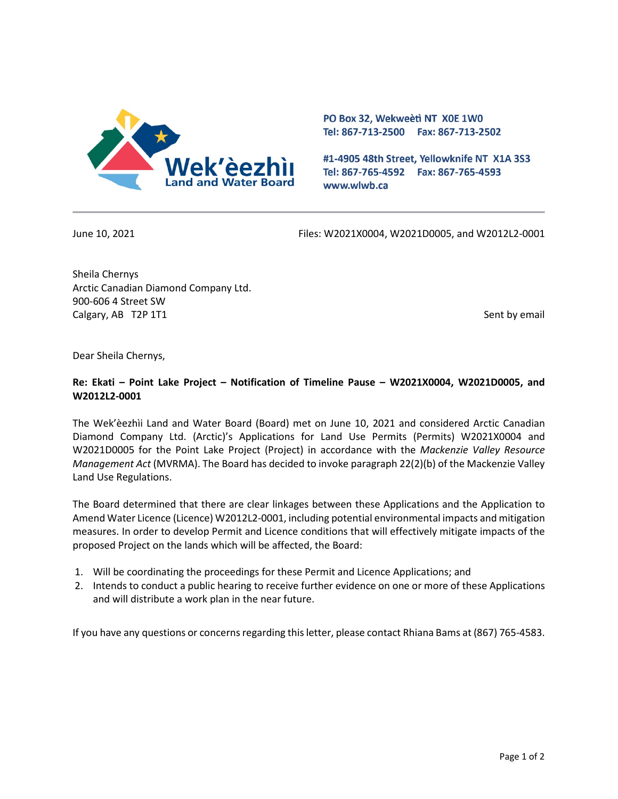

PO Box 32, Wekweeti NT X0E 1W0 Tel: 867-713-2500 Fax: 867-713-2502

#1-4905 48th Street, Yellowknife NT X1A 3S3 Tel: 867-765-4592 Fax: 867-765-4593 www.wlwb.ca

June 10, 2021 Files: W2021X0004, W2021D0005, and W2012L2-0001

Sheila Chernys Arctic Canadian Diamond Company Ltd. 900-606 4 Street SW Calgary, AB T2P 1T1 Sent by email and the sent by email sent by email sent by email

Dear Sheila Chernys,

## **Re: Ekati – Point Lake Project – Notification of Timeline Pause – W2021X0004, W2021D0005, and W2012L2-0001**

The Wek'èezhìi Land and Water Board (Board) met on June 10, 2021 and considered Arctic Canadian Diamond Company Ltd. (Arctic)'s Applications for Land Use Permits (Permits) W2021X0004 and W2021D0005 for the Point Lake Project (Project) in accordance with the *Mackenzie Valley Resource Management Act* (MVRMA). The Board has decided to invoke paragraph 22(2)(b) of the Mackenzie Valley Land Use Regulations.

The Board determined that there are clear linkages between these Applications and the Application to Amend Water Licence (Licence) W2012L2-0001, including potential environmental impacts and mitigation measures. In order to develop Permit and Licence conditions that will effectively mitigate impacts of the proposed Project on the lands which will be affected, the Board:

- 1. Will be coordinating the proceedings for these Permit and Licence Applications; and
- 2. Intends to conduct a public hearing to receive further evidence on one or more of these Applications and will distribute a work plan in the near future.

If you have any questions or concerns regarding this letter, please contact Rhiana Bams at (867) 765-4583.